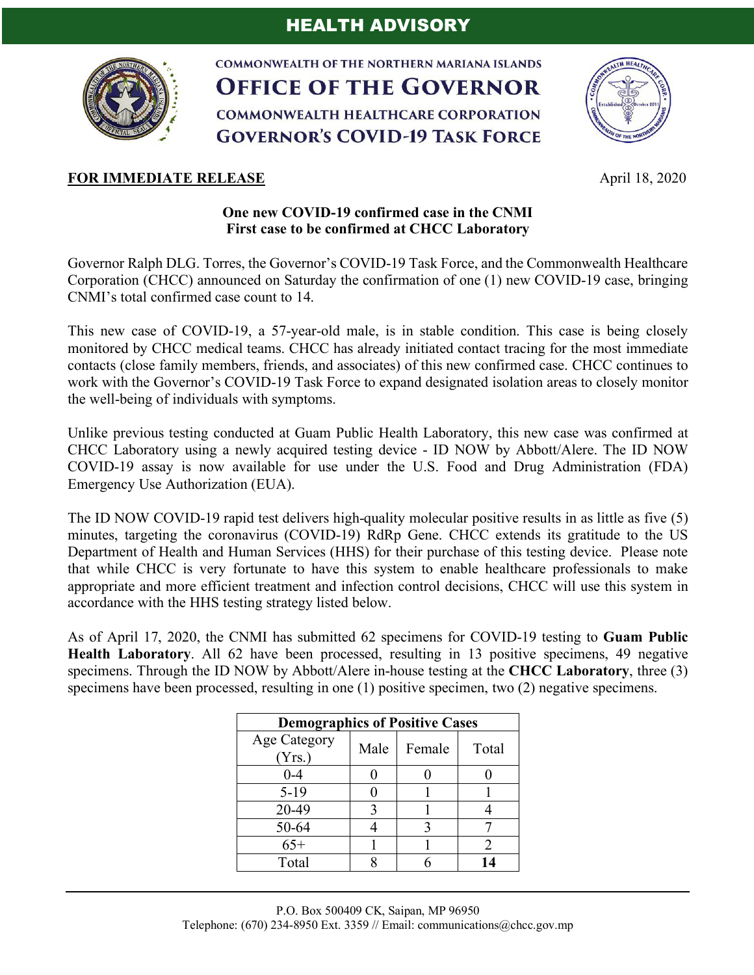

**COMMONWEALTH OF THE NORTHERN MARIANA ISLANDS OFFICE OF THE GOVERNOR COMMONWEALTH HEALTHCARE CORPORATION GOVERNOR'S COVID-19 TASK FORCE** 



### **FOR IMMEDIATE RELEASE April 18, 2020**

# **One new COVID-19 confirmed case in the CNMI First case to be confirmed at CHCC Laboratory**

Governor Ralph DLG. Torres, the Governor's COVID-19 Task Force, and the Commonwealth Healthcare Corporation (CHCC) announced on Saturday the confirmation of one (1) new COVID-19 case, bringing CNMI's total confirmed case count to 14.

This new case of COVID-19, a 57-year-old male, is in stable condition. This case is being closely monitored by CHCC medical teams. CHCC has already initiated contact tracing for the most immediate contacts (close family members, friends, and associates) of this new confirmed case. CHCC continues to work with the Governor's COVID-19 Task Force to expand designated isolation areas to closely monitor the well-being of individuals with symptoms.

Unlike previous testing conducted at Guam Public Health Laboratory, this new case was confirmed at CHCC Laboratory using a newly acquired testing device - ID NOW by Abbott/Alere. The ID NOW COVID-19 assay is now available for use under the U.S. Food and Drug Administration (FDA) Emergency Use Authorization (EUA).

The ID NOW COVID-19 rapid test delivers high-quality molecular positive results in as little as five (5) minutes, targeting the coronavirus (COVID-19) RdRp Gene. CHCC extends its gratitude to the US Department of Health and Human Services (HHS) for their purchase of this testing device. Please note that while CHCC is very fortunate to have this system to enable healthcare professionals to make appropriate and more efficient treatment and infection control decisions, CHCC will use this system in accordance with the HHS testing strategy listed below.

As of April 17, 2020, the CNMI has submitted 62 specimens for COVID-19 testing to **Guam Public Health Laboratory**. All 62 have been processed, resulting in 13 positive specimens, 49 negative specimens. Through the ID NOW by Abbott/Alere in-house testing at the **CHCC Laboratory**, three (3) specimens have been processed, resulting in one (1) positive specimen, two (2) negative specimens.

| <b>Demographics of Positive Cases</b> |      |        |       |
|---------------------------------------|------|--------|-------|
| <b>Age Category</b><br>(Yrs.)         | Male | Female | Total |
| $0 - 4$                               |      |        |       |
| $5-19$                                |      |        |       |
| 20-49                                 | 3    |        |       |
| 50-64                                 |      |        |       |
| $65+$                                 |      |        |       |
| Total                                 |      |        | 14    |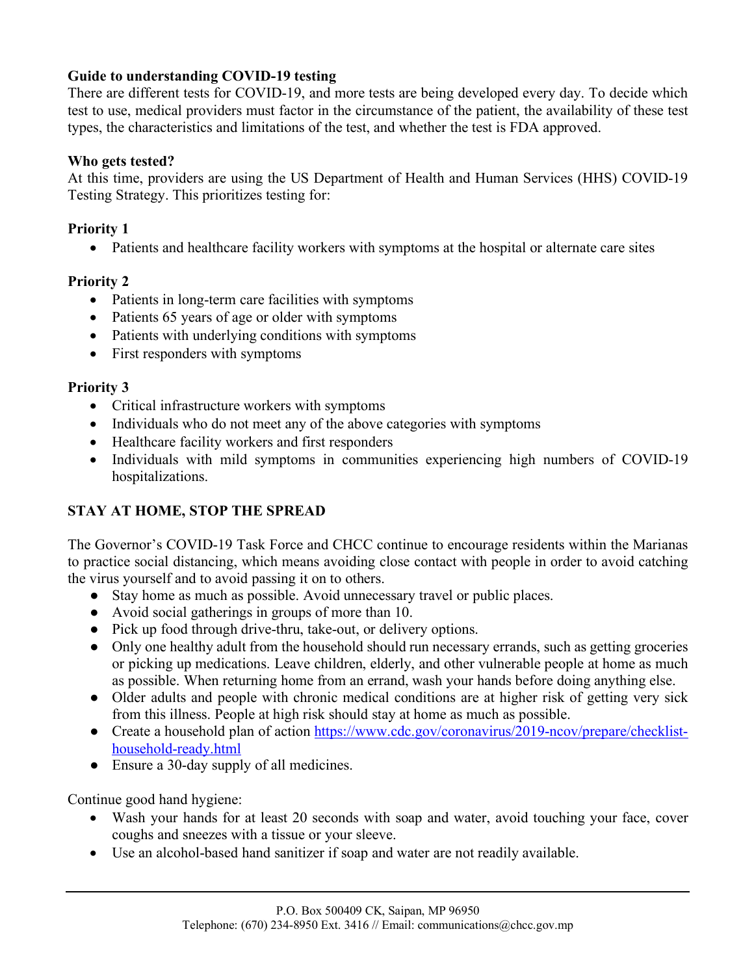# **Guide to understanding COVID-19 testing**

There are different tests for COVID-19, and more tests are being developed every day. To decide which test to use, medical providers must factor in the circumstance of the patient, the availability of these test types, the characteristics and limitations of the test, and whether the test is FDA approved.

### **Who gets tested?**

At this time, providers are using the US Department of Health and Human Services (HHS) COVID-19 Testing Strategy. This prioritizes testing for:

### **Priority 1**

• Patients and healthcare facility workers with symptoms at the hospital or alternate care sites

### **Priority 2**

- Patients in long-term care facilities with symptoms
- Patients 65 years of age or older with symptoms
- Patients with underlying conditions with symptoms
- First responders with symptoms

#### **Priority 3**

- Critical infrastructure workers with symptoms
- Individuals who do not meet any of the above categories with symptoms
- Healthcare facility workers and first responders
- Individuals with mild symptoms in communities experiencing high numbers of COVID-19 hospitalizations.

### **STAY AT HOME, STOP THE SPREAD**

The Governor's COVID-19 Task Force and CHCC continue to encourage residents within the Marianas to practice social distancing, which means avoiding close contact with people in order to avoid catching the virus yourself and to avoid passing it on to others.

- Stay home as much as possible. Avoid unnecessary travel or public places.
- Avoid social gatherings in groups of more than 10.
- Pick up food through drive-thru, take-out, or delivery options.
- Only one healthy adult from the household should run necessary errands, such as getting groceries or picking up medications. Leave children, elderly, and other vulnerable people at home as much as possible. When returning home from an errand, wash your hands before doing anything else.
- Older adults and people with chronic medical conditions are at higher risk of getting very sick from this illness. People at high risk should stay at home as much as possible.
- Create a household plan of action https://www.cdc.gov/coronavirus/2019-ncov/prepare/checklisthousehold-ready.html
- Ensure a 30-day supply of all medicines.

Continue good hand hygiene:

- Wash your hands for at least 20 seconds with soap and water, avoid touching your face, cover coughs and sneezes with a tissue or your sleeve.
- Use an alcohol-based hand sanitizer if soap and water are not readily available.